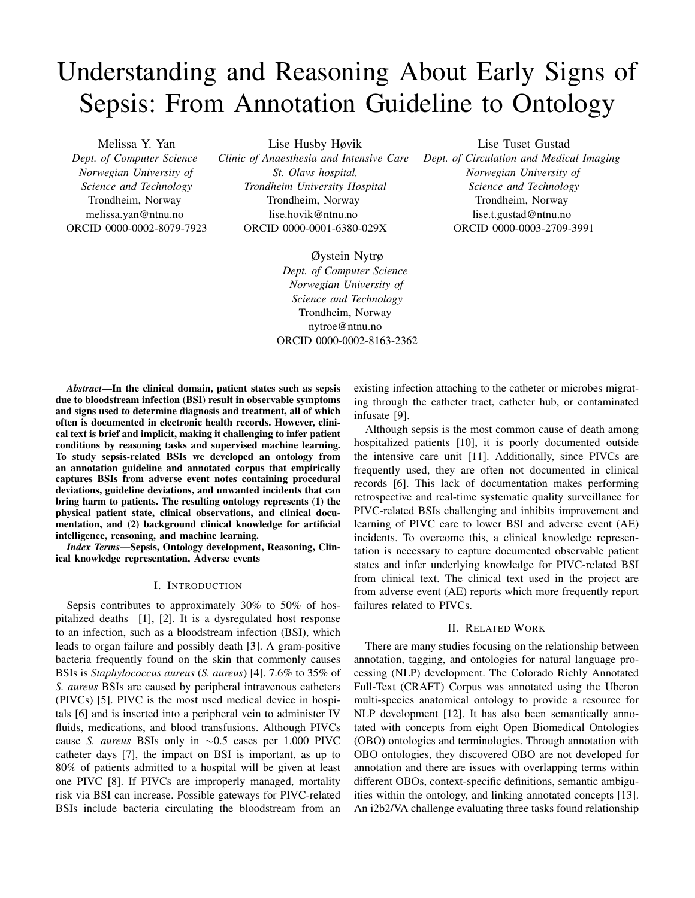# Understanding and Reasoning About Early Signs of Sepsis: From Annotation Guideline to Ontology

Melissa Y. Yan *Dept. of Computer Science Norwegian University of Science and Technology* Trondheim, Norway melissa.yan@ntnu.no ORCID 0000-0002-8079-7923

Lise Husby Høvik *Clinic of Anaesthesia and Intensive Care St. Olavs hospital, Trondheim University Hospital* Trondheim, Norway lise.hovik@ntnu.no ORCID 0000-0001-6380-029X

> Øystein Nytrø *Dept. of Computer Science Norwegian University of Science and Technology* Trondheim, Norway nytroe@ntnu.no ORCID 0000-0002-8163-2362

*Abstract*—In the clinical domain, patient states such as sepsis due to bloodstream infection (BSI) result in observable symptoms and signs used to determine diagnosis and treatment, all of which often is documented in electronic health records. However, clinical text is brief and implicit, making it challenging to infer patient conditions by reasoning tasks and supervised machine learning. To study sepsis-related BSIs we developed an ontology from an annotation guideline and annotated corpus that empirically captures BSIs from adverse event notes containing procedural deviations, guideline deviations, and unwanted incidents that can bring harm to patients. The resulting ontology represents (1) the physical patient state, clinical observations, and clinical documentation, and (2) background clinical knowledge for artificial intelligence, reasoning, and machine learning.

*Index Terms*—Sepsis, Ontology development, Reasoning, Clinical knowledge representation, Adverse events

#### I. INTRODUCTION

Sepsis contributes to approximately 30% to 50% of hospitalized deaths [1], [2]. It is a dysregulated host response to an infection, such as a bloodstream infection (BSI), which leads to organ failure and possibly death [3]. A gram-positive bacteria frequently found on the skin that commonly causes BSIs is *Staphylococcus aureus* (*S. aureus*) [4]. 7.6% to 35% of *S. aureus* BSIs are caused by peripheral intravenous catheters (PIVCs) [5]. PIVC is the most used medical device in hospitals [6] and is inserted into a peripheral vein to administer IV fluids, medications, and blood transfusions. Although PIVCs cause *S. aureus* BSIs only in ∼0.5 cases per 1.000 PIVC catheter days [7], the impact on BSI is important, as up to 80% of patients admitted to a hospital will be given at least one PIVC [8]. If PIVCs are improperly managed, mortality risk via BSI can increase. Possible gateways for PIVC-related BSIs include bacteria circulating the bloodstream from an existing infection attaching to the catheter or microbes migrating through the catheter tract, catheter hub, or contaminated infusate [9].

Although sepsis is the most common cause of death among hospitalized patients [10], it is poorly documented outside the intensive care unit [11]. Additionally, since PIVCs are frequently used, they are often not documented in clinical records [6]. This lack of documentation makes performing retrospective and real-time systematic quality surveillance for PIVC-related BSIs challenging and inhibits improvement and learning of PIVC care to lower BSI and adverse event (AE) incidents. To overcome this, a clinical knowledge representation is necessary to capture documented observable patient states and infer underlying knowledge for PIVC-related BSI from clinical text. The clinical text used in the project are from adverse event (AE) reports which more frequently report failures related to PIVCs.

#### II. RELATED WORK

There are many studies focusing on the relationship between annotation, tagging, and ontologies for natural language processing (NLP) development. The Colorado Richly Annotated Full-Text (CRAFT) Corpus was annotated using the Uberon multi-species anatomical ontology to provide a resource for NLP development [12]. It has also been semantically annotated with concepts from eight Open Biomedical Ontologies (OBO) ontologies and terminologies. Through annotation with OBO ontologies, they discovered OBO are not developed for annotation and there are issues with overlapping terms within different OBOs, context-specific definitions, semantic ambiguities within the ontology, and linking annotated concepts [13]. An i2b2/VA challenge evaluating three tasks found relationship

Lise Tuset Gustad *Dept. of Circulation and Medical Imaging Norwegian University of Science and Technology* Trondheim, Norway lise.t.gustad@ntnu.no ORCID 0000-0003-2709-3991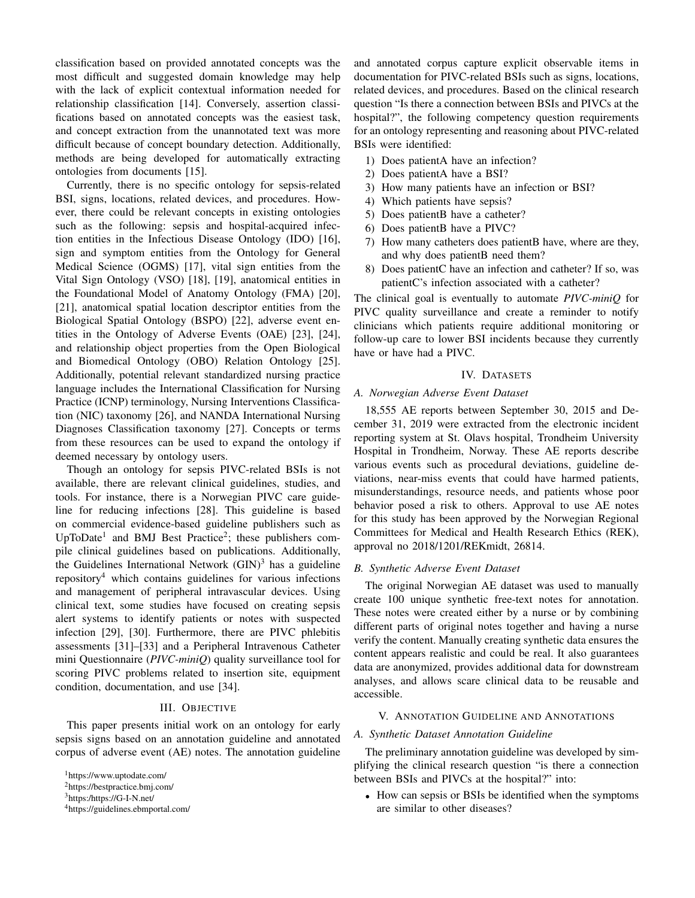classification based on provided annotated concepts was the most difficult and suggested domain knowledge may help with the lack of explicit contextual information needed for relationship classification [14]. Conversely, assertion classifications based on annotated concepts was the easiest task, and concept extraction from the unannotated text was more difficult because of concept boundary detection. Additionally, methods are being developed for automatically extracting ontologies from documents [15].

Currently, there is no specific ontology for sepsis-related BSI, signs, locations, related devices, and procedures. However, there could be relevant concepts in existing ontologies such as the following: sepsis and hospital-acquired infection entities in the Infectious Disease Ontology (IDO) [16], sign and symptom entities from the Ontology for General Medical Science (OGMS) [17], vital sign entities from the Vital Sign Ontology (VSO) [18], [19], anatomical entities in the Foundational Model of Anatomy Ontology (FMA) [20], [21], anatomical spatial location descriptor entities from the Biological Spatial Ontology (BSPO) [22], adverse event entities in the Ontology of Adverse Events (OAE) [23], [24], and relationship object properties from the Open Biological and Biomedical Ontology (OBO) Relation Ontology [25]. Additionally, potential relevant standardized nursing practice language includes the International Classification for Nursing Practice (ICNP) terminology, Nursing Interventions Classification (NIC) taxonomy [26], and NANDA International Nursing Diagnoses Classification taxonomy [27]. Concepts or terms from these resources can be used to expand the ontology if deemed necessary by ontology users.

Though an ontology for sepsis PIVC-related BSIs is not available, there are relevant clinical guidelines, studies, and tools. For instance, there is a Norwegian PIVC care guideline for reducing infections [28]. This guideline is based on commercial evidence-based guideline publishers such as UpToDate<sup>1</sup> and BMJ Best Practice<sup>2</sup>; these publishers compile clinical guidelines based on publications. Additionally, the Guidelines International Network  $(GIN)^3$  has a guideline repository<sup>4</sup> which contains guidelines for various infections and management of peripheral intravascular devices. Using clinical text, some studies have focused on creating sepsis alert systems to identify patients or notes with suspected infection [29], [30]. Furthermore, there are PIVC phlebitis assessments [31]–[33] and a Peripheral Intravenous Catheter mini Questionnaire (*PIVC-miniQ*) quality surveillance tool for scoring PIVC problems related to insertion site, equipment condition, documentation, and use [34].

#### III. OBJECTIVE

This paper presents initial work on an ontology for early sepsis signs based on an annotation guideline and annotated corpus of adverse event (AE) notes. The annotation guideline and annotated corpus capture explicit observable items in documentation for PIVC-related BSIs such as signs, locations, related devices, and procedures. Based on the clinical research question "Is there a connection between BSIs and PIVCs at the hospital?", the following competency question requirements for an ontology representing and reasoning about PIVC-related BSIs were identified:

- 1) Does patientA have an infection?
- 2) Does patientA have a BSI?
- 3) How many patients have an infection or BSI?
- 4) Which patients have sepsis?
- 5) Does patientB have a catheter?
- 6) Does patientB have a PIVC?
- 7) How many catheters does patientB have, where are they, and why does patientB need them?
- 8) Does patientC have an infection and catheter? If so, was patientC's infection associated with a catheter?

The clinical goal is eventually to automate *PIVC-miniQ* for PIVC quality surveillance and create a reminder to notify clinicians which patients require additional monitoring or follow-up care to lower BSI incidents because they currently have or have had a PIVC.

## IV. DATASETS

## *A. Norwegian Adverse Event Dataset*

18,555 AE reports between September 30, 2015 and December 31, 2019 were extracted from the electronic incident reporting system at St. Olavs hospital, Trondheim University Hospital in Trondheim, Norway. These AE reports describe various events such as procedural deviations, guideline deviations, near-miss events that could have harmed patients, misunderstandings, resource needs, and patients whose poor behavior posed a risk to others. Approval to use AE notes for this study has been approved by the Norwegian Regional Committees for Medical and Health Research Ethics (REK), approval no 2018/1201/REKmidt, 26814.

## *B. Synthetic Adverse Event Dataset*

The original Norwegian AE dataset was used to manually create 100 unique synthetic free-text notes for annotation. These notes were created either by a nurse or by combining different parts of original notes together and having a nurse verify the content. Manually creating synthetic data ensures the content appears realistic and could be real. It also guarantees data are anonymized, provides additional data for downstream analyses, and allows scare clinical data to be reusable and accessible.

## V. ANNOTATION GUIDELINE AND ANNOTATIONS

## *A. Synthetic Dataset Annotation Guideline*

The preliminary annotation guideline was developed by simplifying the clinical research question "is there a connection between BSIs and PIVCs at the hospital?" into:

• How can sepsis or BSIs be identified when the symptoms are similar to other diseases?

<sup>1</sup>https://www.uptodate.com/

<sup>2</sup>https://bestpractice.bmj.com/

<sup>3</sup>https:/https://G-I-N.net/

<sup>4</sup>https://guidelines.ebmportal.com/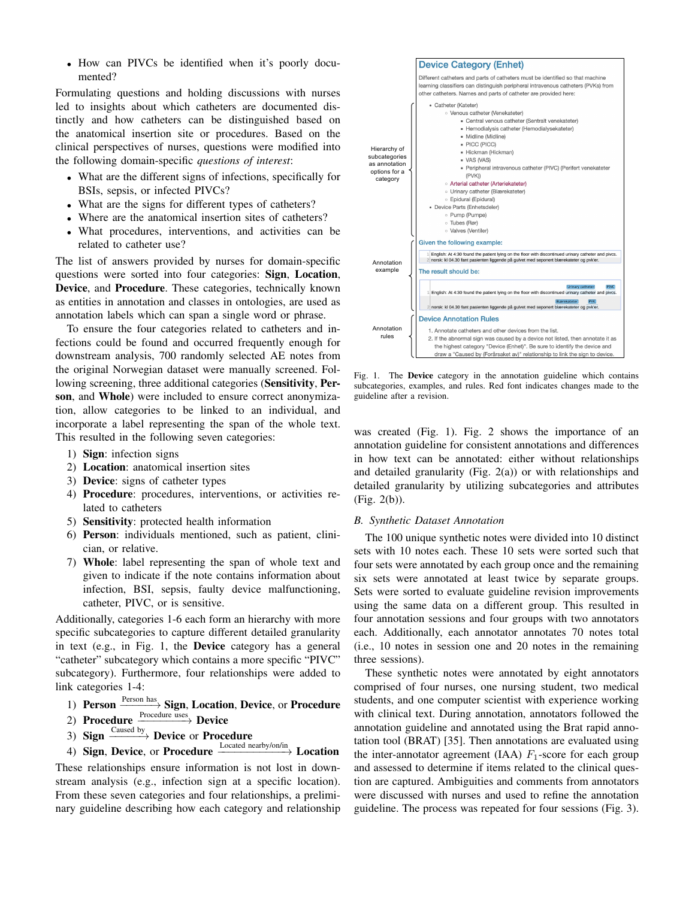• How can PIVCs be identified when it's poorly documented?

Formulating questions and holding discussions with nurses led to insights about which catheters are documented distinctly and how catheters can be distinguished based on the anatomical insertion site or procedures. Based on the clinical perspectives of nurses, questions were modified into the following domain-specific *questions of interest*:

- What are the different signs of infections, specifically for BSIs, sepsis, or infected PIVCs?
- What are the signs for different types of catheters?
- Where are the anatomical insertion sites of catheters?
- What procedures, interventions, and activities can be related to catheter use?

The list of answers provided by nurses for domain-specific questions were sorted into four categories: Sign, Location, Device, and Procedure. These categories, technically known as entities in annotation and classes in ontologies, are used as annotation labels which can span a single word or phrase.

To ensure the four categories related to catheters and infections could be found and occurred frequently enough for downstream analysis, 700 randomly selected AE notes from the original Norwegian dataset were manually screened. Following screening, three additional categories (Sensitivity, Person, and Whole) were included to ensure correct anonymization, allow categories to be linked to an individual, and incorporate a label representing the span of the whole text. This resulted in the following seven categories:

- 1) Sign: infection signs
- 2) Location: anatomical insertion sites
- 3) Device: signs of catheter types
- 4) Procedure: procedures, interventions, or activities related to catheters
- 5) Sensitivity: protected health information
- 6) Person: individuals mentioned, such as patient, clinician, or relative.
- 7) Whole: label representing the span of whole text and given to indicate if the note contains information about infection, BSI, sepsis, faulty device malfunctioning, catheter, PIVC, or is sensitive.

Additionally, categories 1-6 each form an hierarchy with more specific subcategories to capture different detailed granularity in text (e.g., in Fig. 1, the Device category has a general "catheter" subcategory which contains a more specific "PIVC" subcategory). Furthermore, four relationships were added to link categories 1-4:

- 1) Person **Person has** Sign, Location, Device, or Procedure
- 2) Procedure  $\frac{\text{Proceedure uses}}{\text{Perocedure}}$  Device
- 3) Sign  $\frac{\text{Caused by}}{\text{D}}$  Device or Procedure
- 4) Sign, Device, or Procedure  $\xrightarrow{\text{Local}\,\text{nearby/on/in}}$  Location

These relationships ensure information is not lost in downstream analysis (e.g., infection sign at a specific location). From these seven categories and four relationships, a preliminary guideline describing how each category and relationship



Fig. 1. The Device category in the annotation guideline which contains subcategories, examples, and rules. Red font indicates changes made to the guideline after a revision.

was created (Fig. 1). Fig. 2 shows the importance of an annotation guideline for consistent annotations and differences in how text can be annotated: either without relationships and detailed granularity (Fig. 2(a)) or with relationships and detailed granularity by utilizing subcategories and attributes (Fig. 2(b)).

#### *B. Synthetic Dataset Annotation*

The 100 unique synthetic notes were divided into 10 distinct sets with 10 notes each. These 10 sets were sorted such that four sets were annotated by each group once and the remaining six sets were annotated at least twice by separate groups. Sets were sorted to evaluate guideline revision improvements using the same data on a different group. This resulted in four annotation sessions and four groups with two annotators each. Additionally, each annotator annotates 70 notes total (i.e., 10 notes in session one and 20 notes in the remaining three sessions).

These synthetic notes were annotated by eight annotators comprised of four nurses, one nursing student, two medical students, and one computer scientist with experience working with clinical text. During annotation, annotators followed the annotation guideline and annotated using the Brat rapid annotation tool (BRAT) [35]. Then annotations are evaluated using the inter-annotator agreement (IAA)  $F_1$ -score for each group and assessed to determine if items related to the clinical question are captured. Ambiguities and comments from annotators were discussed with nurses and used to refine the annotation guideline. The process was repeated for four sessions (Fig. 3).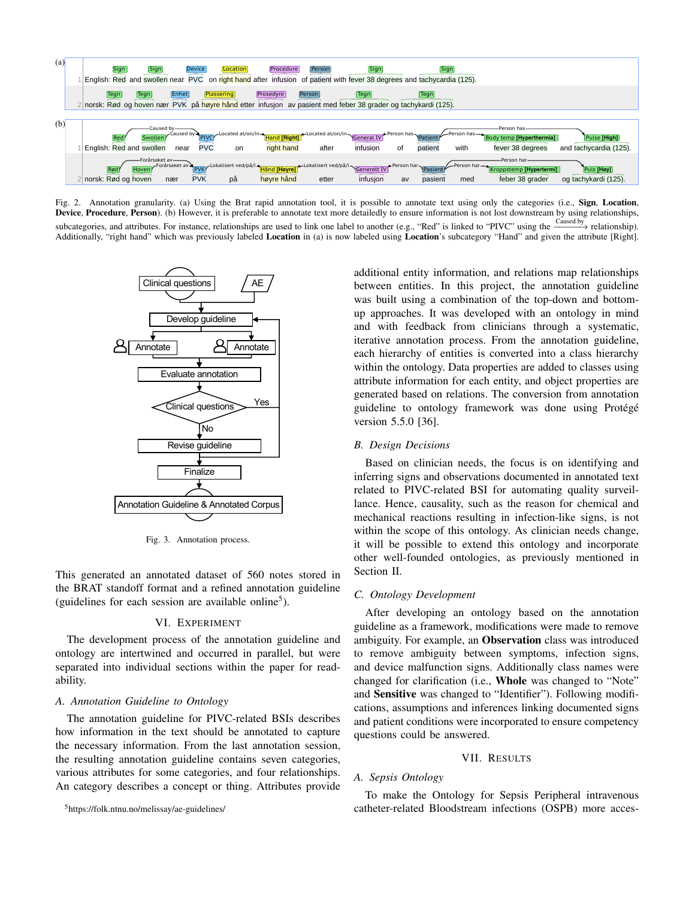

Fig. 2. Annotation granularity. (a) Using the Brat rapid annotation tool, it is possible to annotate text using only the categories (i.e., Sign, Location, Device, Procedure, Person). (b) However, it is preferable to annotate text more detailedly to ensure information is not lost downstream by using relationships, subcategories, and attributes. For instance, relationships are used to link one label to another (e.g., "Red" is linked to "PIVC" using the  $\frac{$ Caused by relationship). Additionally, "right hand" which was previously labeled Location in (a) is now labeled using Location's subcategory "Hand" and given the attribute [Right].



Fig. 3. Annotation process.

This generated an annotated dataset of 560 notes stored in the BRAT standoff format and a refined annotation guideline (guidelines for each session are available online<sup>5</sup>).

## VI. EXPERIMENT

The development process of the annotation guideline and ontology are intertwined and occurred in parallel, but were separated into individual sections within the paper for readability.

## *A. Annotation Guideline to Ontology*

The annotation guideline for PIVC-related BSIs describes how information in the text should be annotated to capture the necessary information. From the last annotation session, the resulting annotation guideline contains seven categories, various attributes for some categories, and four relationships. An category describes a concept or thing. Attributes provide

<sup>5</sup>https://folk.ntnu.no/melissay/ae-guidelines/

additional entity information, and relations map relationships between entities. In this project, the annotation guideline was built using a combination of the top-down and bottomup approaches. It was developed with an ontology in mind and with feedback from clinicians through a systematic, iterative annotation process. From the annotation guideline, each hierarchy of entities is converted into a class hierarchy within the ontology. Data properties are added to classes using attribute information for each entity, and object properties are generated based on relations. The conversion from annotation guideline to ontology framework was done using Protégé version 5.5.0 [36].

#### *B. Design Decisions*

Based on clinician needs, the focus is on identifying and inferring signs and observations documented in annotated text related to PIVC-related BSI for automating quality surveillance. Hence, causality, such as the reason for chemical and mechanical reactions resulting in infection-like signs, is not within the scope of this ontology. As clinician needs change, it will be possible to extend this ontology and incorporate other well-founded ontologies, as previously mentioned in Section II.

### *C. Ontology Development*

After developing an ontology based on the annotation guideline as a framework, modifications were made to remove ambiguity. For example, an Observation class was introduced to remove ambiguity between symptoms, infection signs, and device malfunction signs. Additionally class names were changed for clarification (i.e., Whole was changed to "Note" and Sensitive was changed to "Identifier"). Following modifications, assumptions and inferences linking documented signs and patient conditions were incorporated to ensure competency questions could be answered.

#### VII. RESULTS

## *A. Sepsis Ontology*

To make the Ontology for Sepsis Peripheral intravenous catheter-related Bloodstream infections (OSPB) more acces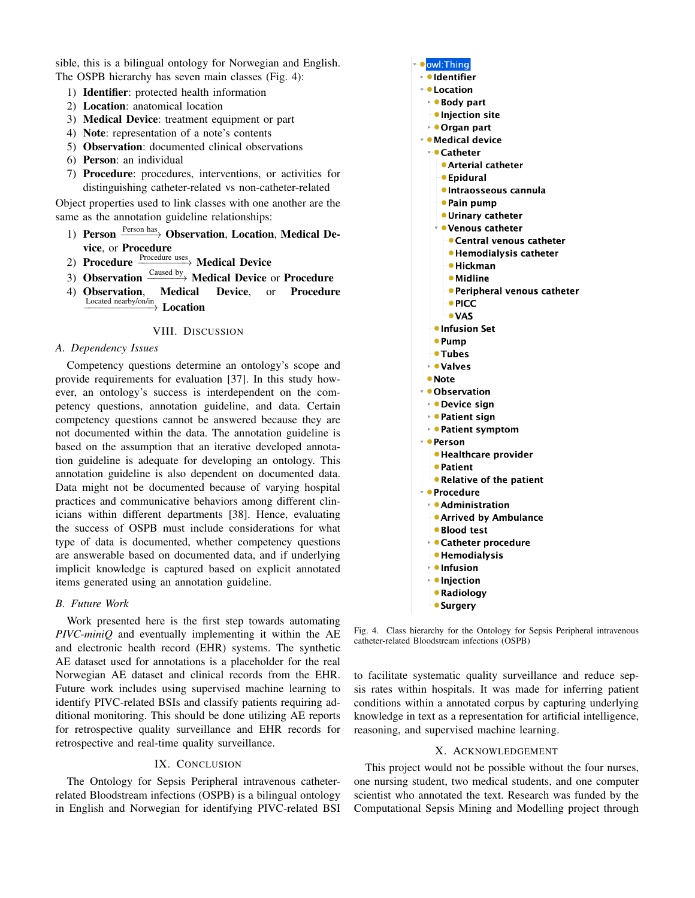sible, this is a bilingual ontology for Norwegian and English. The OSPB hierarchy has seven main classes (Fig. 4):

- 1) Identifier: protected health information
- 2) Location: anatomical location
- 3) Medical Device: treatment equipment or part
- 4) Note: representation of a note's contents
- 5) Observation: documented clinical observations
- 6) Person: an individual
- 7) Procedure: procedures, interventions, or activities for distinguishing catheter-related vs non-catheter-related

Object properties used to link classes with one another are the same as the annotation guideline relationships:

- 1) Person  $\frac{\text{Person has}}{\text{Observation}}$  Observation, Location, Medical Device, or Procedure
- 2) Procedure  $\frac{\text{Proceedure uses}}{\text{Model}}$  Medical Device
- 3) Observation  $\xrightarrow{$  Caused by Medical Device or Procedure
- 4) Observation, Medical Device, or Procedure Located nearby/on/in −−−−−−−−−−−→ Location
	-

## VIII. DISCUSSION

## *A. Dependency Issues*

Competency questions determine an ontology's scope and provide requirements for evaluation [37]. In this study however, an ontology's success is interdependent on the competency questions, annotation guideline, and data. Certain competency questions cannot be answered because they are not documented within the data. The annotation guideline is based on the assumption that an iterative developed annotation guideline is adequate for developing an ontology. This annotation guideline is also dependent on documented data. Data might not be documented because of varying hospital practices and communicative behaviors among different clinicians within different departments [38]. Hence, evaluating the success of OSPB must include considerations for what type of data is documented, whether competency questions are answerable based on documented data, and if underlying implicit knowledge is captured based on explicit annotated items generated using an annotation guideline.

## *B. Future Work*

Work presented here is the first step towards automating *PIVC-miniQ* and eventually implementing it within the AE and electronic health record (EHR) systems. The synthetic AE dataset used for annotations is a placeholder for the real Norwegian AE dataset and clinical records from the EHR. Future work includes using supervised machine learning to identify PIVC-related BSIs and classify patients requiring additional monitoring. This should be done utilizing AE reports for retrospective quality surveillance and EHR records for retrospective and real-time quality surveillance.

## IX. CONCLUSION

The Ontology for Sepsis Peripheral intravenous catheterrelated Bloodstream infections (OSPB) is a bilingual ontology in English and Norwegian for identifying PIVC-related BSI



• Surgery

Fig. 4. Class hierarchy for the Ontology for Sepsis Peripheral intravenous catheter-related Bloodstream infections (OSPB)

to facilitate systematic quality surveillance and reduce sepsis rates within hospitals. It was made for inferring patient conditions within a annotated corpus by capturing underlying knowledge in text as a representation for artificial intelligence, reasoning, and supervised machine learning.

## X. ACKNOWLEDGEMENT

This project would not be possible without the four nurses, one nursing student, two medical students, and one computer scientist who annotated the text. Research was funded by the Computational Sepsis Mining and Modelling project through